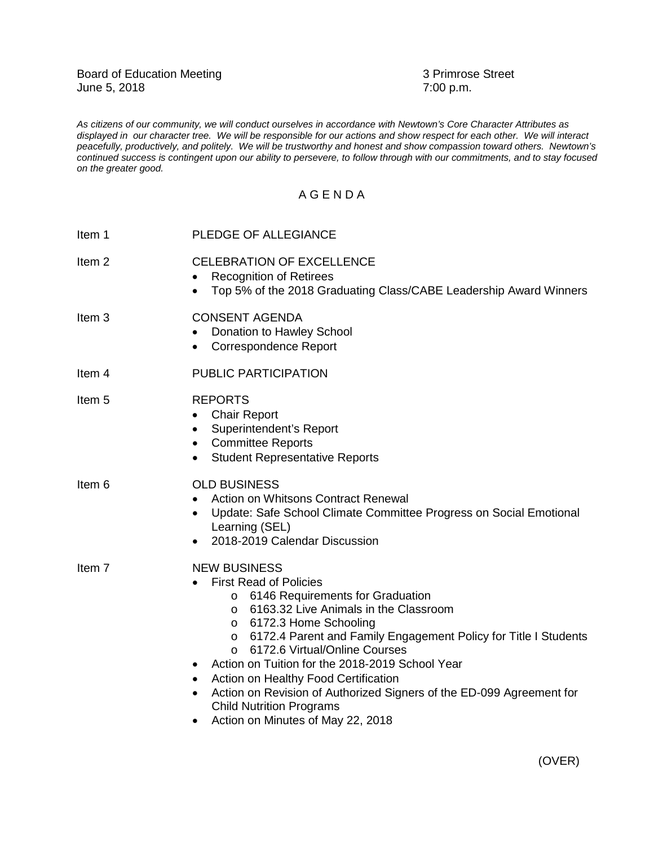*As citizens of our community, we will conduct ourselves in accordance with Newtown's Core Character Attributes as displayed in our character tree. We will be responsible for our actions and show respect for each other. We will interact peacefully, productively, and politely. We will be trustworthy and honest and show compassion toward others. Newtown's continued success is contingent upon our ability to persevere, to follow through with our commitments, and to stay focused on the greater good.*

## A G E N D A

| Item 1            | PLEDGE OF ALLEGIANCE                                                                                                                                                                                                                                                                                                                                                                                                                                                                                                                                                                        |
|-------------------|---------------------------------------------------------------------------------------------------------------------------------------------------------------------------------------------------------------------------------------------------------------------------------------------------------------------------------------------------------------------------------------------------------------------------------------------------------------------------------------------------------------------------------------------------------------------------------------------|
| Item <sub>2</sub> | <b>CELEBRATION OF EXCELLENCE</b><br><b>Recognition of Retirees</b><br>Top 5% of the 2018 Graduating Class/CABE Leadership Award Winners                                                                                                                                                                                                                                                                                                                                                                                                                                                     |
| Item <sub>3</sub> | <b>CONSENT AGENDA</b><br>Donation to Hawley School<br><b>Correspondence Report</b><br>$\bullet$                                                                                                                                                                                                                                                                                                                                                                                                                                                                                             |
| Item 4            | PUBLIC PARTICIPATION                                                                                                                                                                                                                                                                                                                                                                                                                                                                                                                                                                        |
| Item <sub>5</sub> | <b>REPORTS</b><br><b>Chair Report</b><br>$\bullet$<br>Superintendent's Report<br>٠<br><b>Committee Reports</b><br>$\bullet$<br><b>Student Representative Reports</b>                                                                                                                                                                                                                                                                                                                                                                                                                        |
| Item 6            | <b>OLD BUSINESS</b><br>Action on Whitsons Contract Renewal<br>$\bullet$<br>Update: Safe School Climate Committee Progress on Social Emotional<br>$\bullet$<br>Learning (SEL)<br>2018-2019 Calendar Discussion                                                                                                                                                                                                                                                                                                                                                                               |
| Item 7            | <b>NEW BUSINESS</b><br><b>First Read of Policies</b><br>6146 Requirements for Graduation<br>O<br>6163.32 Live Animals in the Classroom<br>$\circ$<br>6172.3 Home Schooling<br>$\circ$<br>6172.4 Parent and Family Engagement Policy for Title I Students<br>O<br>6172.6 Virtual/Online Courses<br>$\circ$<br>Action on Tuition for the 2018-2019 School Year<br>$\bullet$<br>Action on Healthy Food Certification<br>$\bullet$<br>Action on Revision of Authorized Signers of the ED-099 Agreement for<br>$\bullet$<br><b>Child Nutrition Programs</b><br>Action on Minutes of May 22, 2018 |